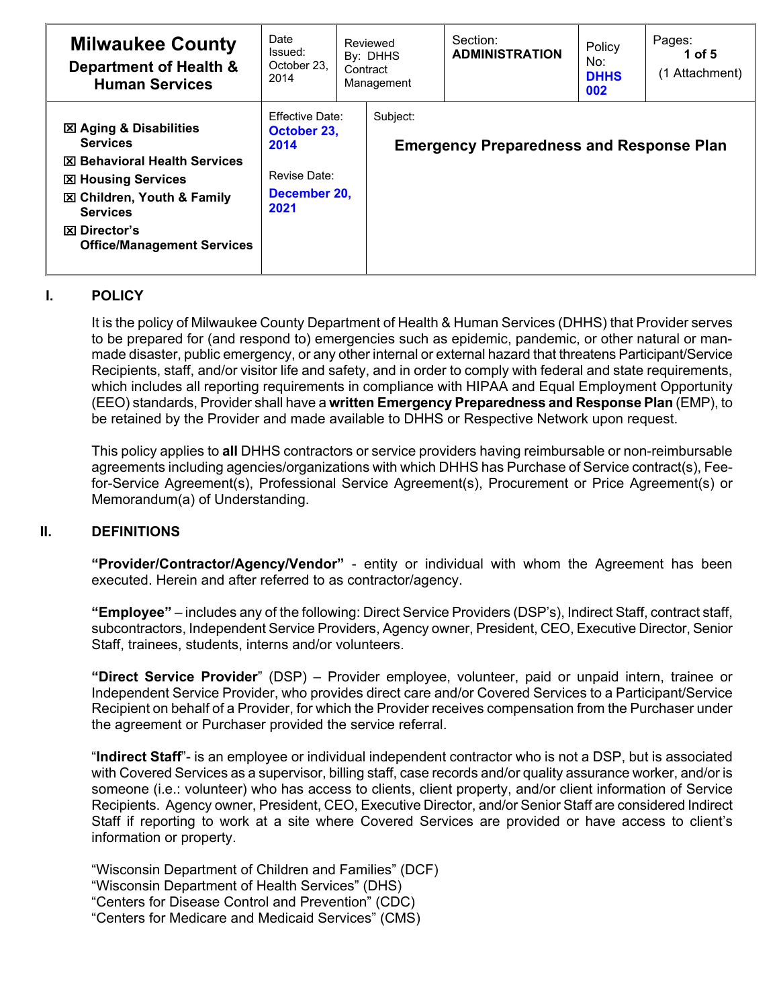| <b>Milwaukee County</b><br>Department of Health &<br><b>Human Services</b>                                                                                                                                                                       | Date<br>Issued:<br>October 23.<br>2014                                                | Reviewed<br>By: DHHS<br>Contract<br>Management | Section:<br><b>ADMINISTRATION</b>               | Policy<br>No:<br><b>DHHS</b><br>002 | Pages:<br>1 of 5<br>(1 Attachment) |
|--------------------------------------------------------------------------------------------------------------------------------------------------------------------------------------------------------------------------------------------------|---------------------------------------------------------------------------------------|------------------------------------------------|-------------------------------------------------|-------------------------------------|------------------------------------|
| <b>図 Aging &amp; Disabilities</b><br><b>Services</b><br><b>区 Behavioral Health Services</b><br><b>⊠ Housing Services</b><br><b>図 Children, Youth &amp; Family</b><br><b>Services</b><br><b>⊠</b> Director's<br><b>Office/Management Services</b> | <b>Effective Date:</b><br>October 23,<br>2014<br>Revise Date:<br>December 20,<br>2021 | Subject:                                       | <b>Emergency Preparedness and Response Plan</b> |                                     |                                    |

### **I. POLICY**

It is the policy of Milwaukee County Department of Health & Human Services (DHHS) that Provider serves to be prepared for (and respond to) emergencies such as epidemic, pandemic, or other natural or manmade disaster, public emergency, or any other internal or external hazard that threatens Participant/Service Recipients, staff, and/or visitor life and safety, and in order to comply with federal and state requirements, which includes all reporting requirements in compliance with HIPAA and Equal Employment Opportunity (EEO) standards, Provider shall have a **written Emergency Preparedness and Response Plan** (EMP), to be retained by the Provider and made available to DHHS or Respective Network upon request.

This policy applies to **all** DHHS contractors or service providers having reimbursable or non-reimbursable agreements including agencies/organizations with which DHHS has Purchase of Service contract(s), Feefor-Service Agreement(s), Professional Service Agreement(s), Procurement or Price Agreement(s) or Memorandum(a) of Understanding.

#### **II. DEFINITIONS**

**"Provider/Contractor/Agency/Vendor"** - entity or individual with whom the Agreement has been executed. Herein and after referred to as contractor/agency.

**"Employee"** – includes any of the following: Direct Service Providers (DSP's), Indirect Staff, contract staff, subcontractors, Independent Service Providers, Agency owner, President, CEO, Executive Director, Senior Staff, trainees, students, interns and/or volunteers.

**"Direct Service Provider**" (DSP) – Provider employee, volunteer, paid or unpaid intern, trainee or Independent Service Provider, who provides direct care and/or Covered Services to a Participant/Service Recipient on behalf of a Provider, for which the Provider receives compensation from the Purchaser under the agreement or Purchaser provided the service referral.

"**Indirect Staff**"- is an employee or individual independent contractor who is not a DSP, but is associated with Covered Services as a supervisor, billing staff, case records and/or quality assurance worker, and/or is someone (i.e.: volunteer) who has access to clients, client property, and/or client information of Service Recipients. Agency owner, President, CEO, Executive Director, and/or Senior Staff are considered Indirect Staff if reporting to work at a site where Covered Services are provided or have access to client's information or property.

"Wisconsin Department of Children and Families" (DCF) "Wisconsin Department of Health Services" (DHS) "Centers for Disease Control and Prevention" (CDC) "Centers for Medicare and Medicaid Services" (CMS)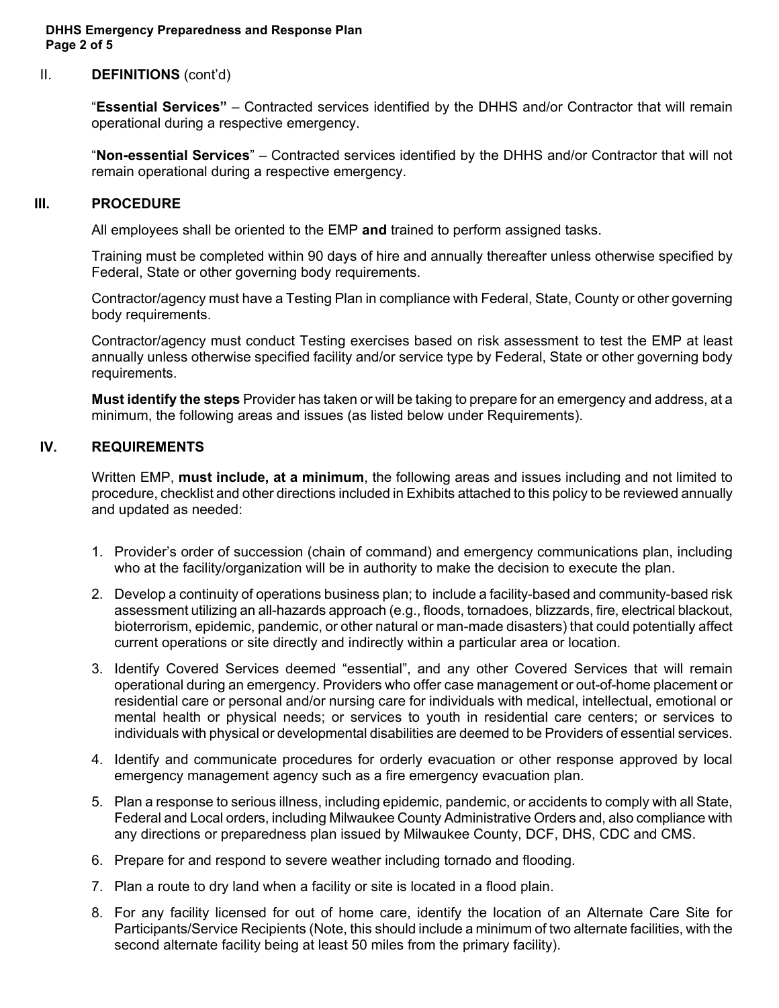#### **DHHS Emergency Preparedness and Response Plan Page 2 of 5**

#### II. **DEFINITIONS** (cont'd)

"**Essential Services"** – Contracted services identified by the DHHS and/or Contractor that will remain operational during a respective emergency.

"**Non-essential Services**" – Contracted services identified by the DHHS and/or Contractor that will not remain operational during a respective emergency.

#### **III. PROCEDURE**

All employees shall be oriented to the EMP **and** trained to perform assigned tasks.

Training must be completed within 90 days of hire and annually thereafter unless otherwise specified by Federal, State or other governing body requirements.

Contractor/agency must have a Testing Plan in compliance with Federal, State, County or other governing body requirements.

Contractor/agency must conduct Testing exercises based on risk assessment to test the EMP at least annually unless otherwise specified facility and/or service type by Federal, State or other governing body requirements.

**Must identify the steps** Provider has taken or will be taking to prepare for an emergency and address, at a minimum, the following areas and issues (as listed below under Requirements).

#### **IV. REQUIREMENTS**

Written EMP, **must include, at a minimum**, the following areas and issues including and not limited to procedure, checklist and other directions included in Exhibits attached to this policy to be reviewed annually and updated as needed:

- 1. Provider's order of succession (chain of command) and emergency communications plan, including who at the facility/organization will be in authority to make the decision to execute the plan.
- 2. Develop a continuity of operations business plan; to include a facility-based and community-based risk assessment utilizing an all-hazards approach (e.g., floods, tornadoes, blizzards, fire, electrical blackout, bioterrorism, epidemic, pandemic, or other natural or man-made disasters) that could potentially affect current operations or site directly and indirectly within a particular area or location.
- 3. Identify Covered Services deemed "essential", and any other Covered Services that will remain operational during an emergency. Providers who offer case management or out-of-home placement or residential care or personal and/or nursing care for individuals with medical, intellectual, emotional or mental health or physical needs; or services to youth in residential care centers; or services to individuals with physical or developmental disabilities are deemed to be Providers of essential services.
- 4. Identify and communicate procedures for orderly evacuation or other response approved by local emergency management agency such as a fire emergency evacuation plan.
- 5. Plan a response to serious illness, including epidemic, pandemic, or accidents to comply with all State, Federal and Local orders, including Milwaukee County Administrative Orders and, also compliance with any directions or preparedness plan issued by Milwaukee County, DCF, DHS, CDC and CMS.
- 6. Prepare for and respond to severe weather including tornado and flooding.
- 7. Plan a route to dry land when a facility or site is located in a flood plain.
- 8. For any facility licensed for out of home care, identify the location of an Alternate Care Site for Participants/Service Recipients (Note, this should include a minimum of two alternate facilities, with the second alternate facility being at least 50 miles from the primary facility).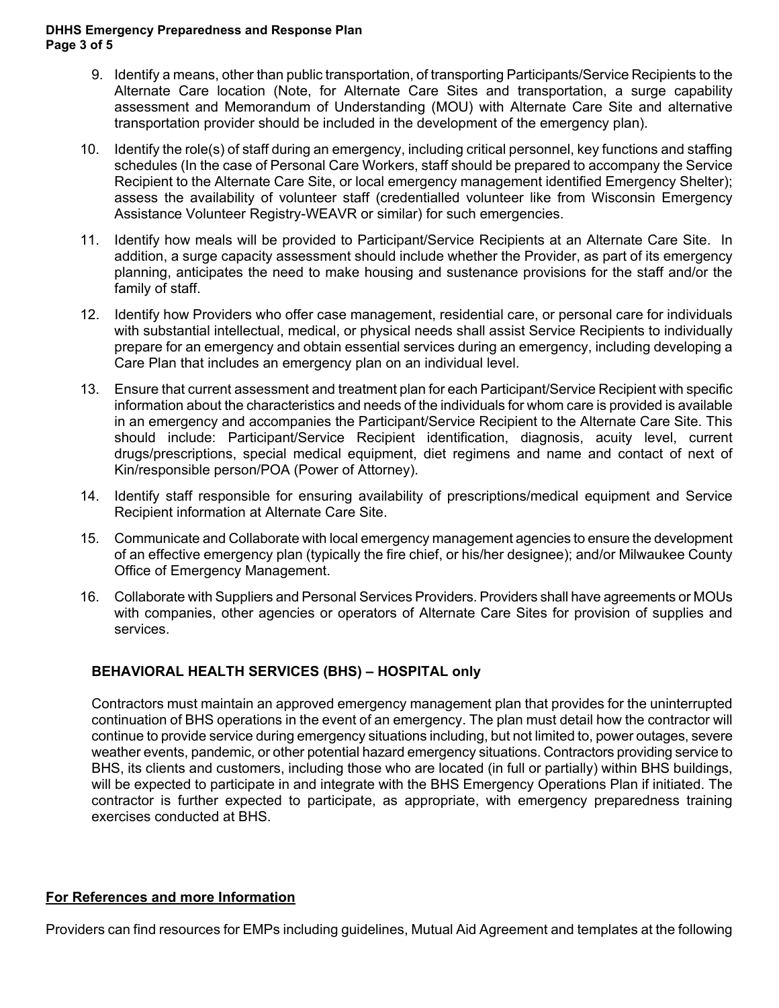#### **DHHS Emergency Preparedness and Response Plan Page 3 of 5**

- 9. Identify a means, other than public transportation, of transporting Participants/Service Recipients to the Alternate Care location (Note, for Alternate Care Sites and transportation, a surge capability assessment and Memorandum of Understanding (MOU) with Alternate Care Site and alternative transportation provider should be included in the development of the emergency plan).
- 10. Identify the role(s) of staff during an emergency, including critical personnel, key functions and staffing schedules (In the case of Personal Care Workers, staff should be prepared to accompany the Service Recipient to the Alternate Care Site, or local emergency management identified Emergency Shelter); assess the availability of volunteer staff (credentialled volunteer like from Wisconsin Emergency Assistance Volunteer Registry-WEAVR or similar) for such emergencies.
- 11. Identify how meals will be provided to Participant/Service Recipients at an Alternate Care Site. In addition, a surge capacity assessment should include whether the Provider, as part of its emergency planning, anticipates the need to make housing and sustenance provisions for the staff and/or the family of staff.
- 12. Identify how Providers who offer case management, residential care, or personal care for individuals with substantial intellectual, medical, or physical needs shall assist Service Recipients to individually prepare for an emergency and obtain essential services during an emergency, including developing a Care Plan that includes an emergency plan on an individual level.
- 13. Ensure that current assessment and treatment plan for each Participant/Service Recipient with specific information about the characteristics and needs of the individuals for whom care is provided is available in an emergency and accompanies the Participant/Service Recipient to the Alternate Care Site. This should include: Participant/Service Recipient identification, diagnosis, acuity level, current drugs/prescriptions, special medical equipment, diet regimens and name and contact of next of Kin/responsible person/POA (Power of Attorney).
- 14. Identify staff responsible for ensuring availability of prescriptions/medical equipment and Service Recipient information at Alternate Care Site.
- 15. Communicate and Collaborate with local emergency management agencies to ensure the development of an effective emergency plan (typically the fire chief, or his/her designee); and/or Milwaukee County Office of Emergency Management.
- 16. Collaborate with Suppliers and Personal Services Providers. Providers shall have agreements or MOUs with companies, other agencies or operators of Alternate Care Sites for provision of supplies and services.

# **BEHAVIORAL HEALTH SERVICES (BHS) – HOSPITAL only**

Contractors must maintain an approved emergency management plan that provides for the uninterrupted continuation of BHS operations in the event of an emergency. The plan must detail how the contractor will continue to provide service during emergency situations including, but not limited to, power outages, severe weather events, pandemic, or other potential hazard emergency situations. Contractors providing service to BHS, its clients and customers, including those who are located (in full or partially) within BHS buildings, will be expected to participate in and integrate with the BHS Emergency Operations Plan if initiated. The contractor is further expected to participate, as appropriate, with emergency preparedness training exercises conducted at BHS.

### **For References and more Information**

Providers can find resources for EMPs including guidelines, Mutual Aid Agreement and templates at the following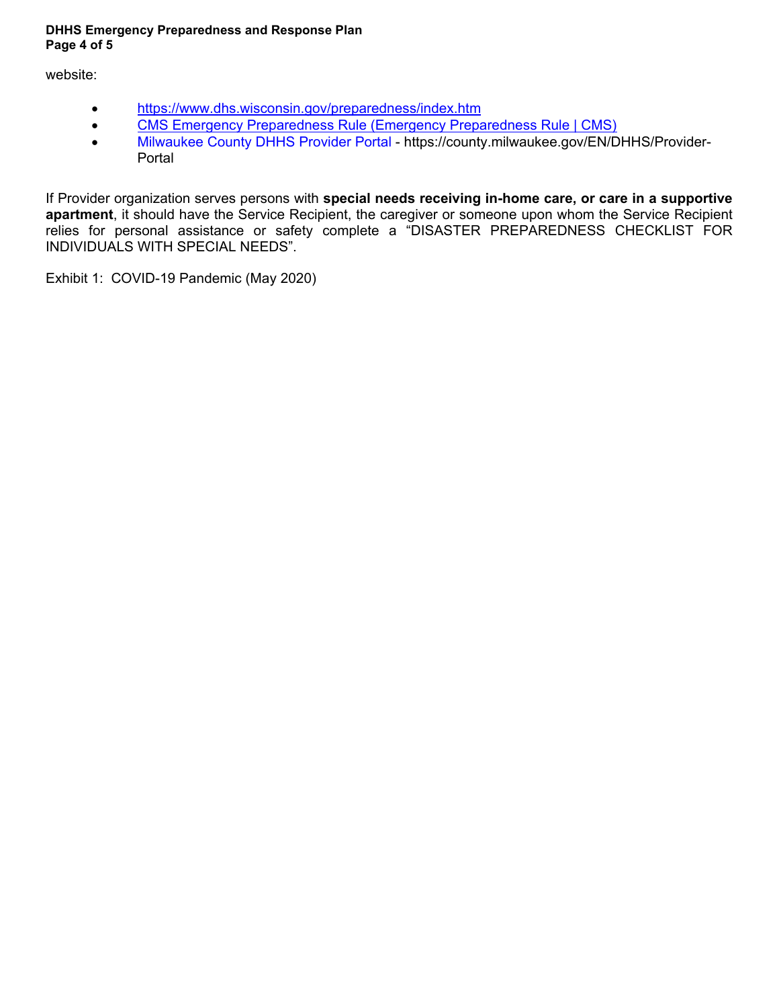#### **DHHS Emergency Preparedness and Response Plan Page 4 of 5**

website:

- <https://www.dhs.wisconsin.gov/preparedness/index.htm>
- CMS Emergency Preparedness Rule [\(Emergency Preparedness Rule | CMS\)](https://www.cms.gov/Medicare/Provider-Enrollment-and-Certification/SurveyCertEmergPrep/Emergency-Prep-Rule)
- [Milwaukee County DHHS Provider](https://milwaukeecountywi.sharepoint.com/sites/EmergencyMgmtPlanWorkgroup/Shared%20Documents/General/Milwaukee%20County%20DHHS%20Provider%20Portal) Portal https://county.milwaukee.gov/EN/DHHS/Provider-Portal

If Provider organization serves persons with **special needs receiving in-home care, or care in a supportive apartment**, it should have the Service Recipient, the caregiver or someone upon whom the Service Recipient relies for personal assistance or safety complete a "DISASTER PREPAREDNESS CHECKLIST FOR INDIVIDUALS WITH SPECIAL NEEDS".

Exhibit 1: COVID-19 Pandemic (May 2020)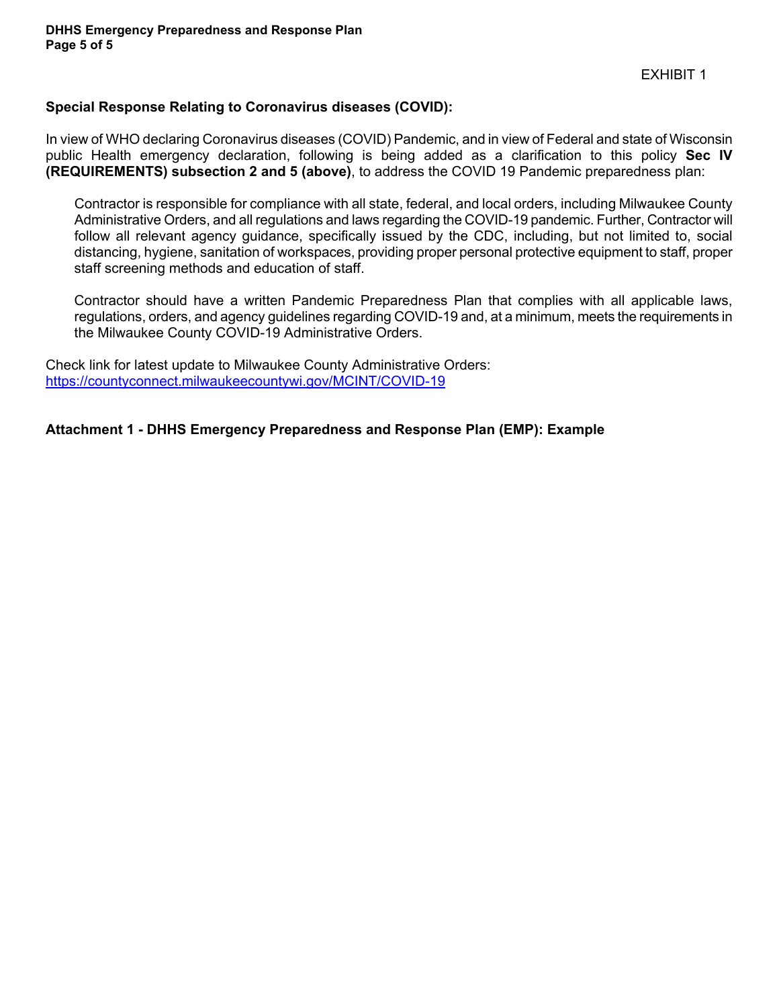#### **Special Response Relating to Coronavirus diseases (COVID):**

In view of WHO declaring Coronavirus diseases (COVID) Pandemic, and in view of Federal and state of Wisconsin public Health emergency declaration, following is being added as a clarification to this policy **Sec IV (REQUIREMENTS) subsection 2 and 5 (above)**, to address the COVID 19 Pandemic preparedness plan:

Contractor is responsible for compliance with all state, federal, and local orders, including Milwaukee County Administrative Orders, and all regulations and laws regarding the COVID-19 pandemic. Further, Contractor will follow all relevant agency guidance, specifically issued by the CDC, including, but not limited to, social distancing, hygiene, sanitation of workspaces, providing proper personal protective equipment to staff, proper staff screening methods and education of staff.

Contractor should have a written Pandemic Preparedness Plan that complies with all applicable laws, regulations, orders, and agency guidelines regarding COVID-19 and, at a minimum, meets the requirements in the Milwaukee County COVID-19 Administrative Orders.

Check link for latest update to Milwaukee County Administrative Orders: <https://countyconnect.milwaukeecountywi.gov/MCINT/COVID-19>

### **Attachment 1 - DHHS Emergency Preparedness and Response Plan (EMP): Example**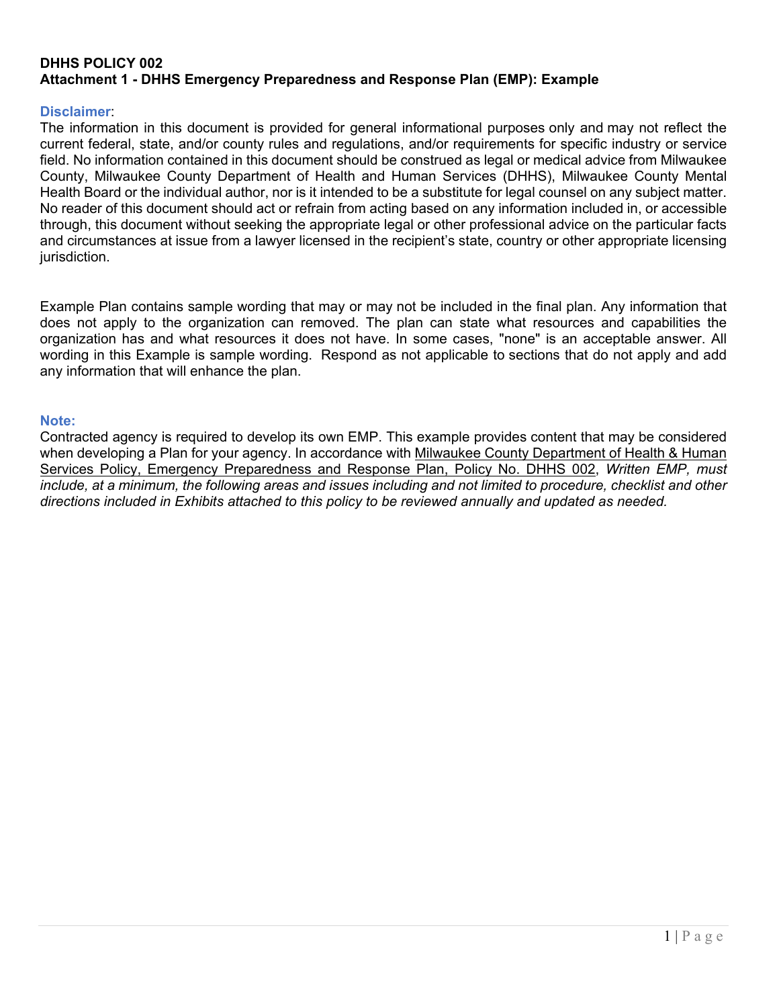## **DHHS POLICY 002 Attachment 1 - DHHS Emergency Preparedness and Response Plan (EMP): Example**

#### **Disclaimer**:

The information in this document is provided for general informational purposes only and may not reflect the current federal, state, and/or county rules and regulations, and/or requirements for specific industry or service field. No information contained in this document should be construed as legal or medical advice from Milwaukee County, Milwaukee County Department of Health and Human Services (DHHS), Milwaukee County Mental Health Board or the individual author, nor is it intended to be a substitute for legal counsel on any subject matter. No reader of this document should act or refrain from acting based on any information included in, or accessible through, this document without seeking the appropriate legal or other professional advice on the particular facts and circumstances at issue from a lawyer licensed in the recipient's state, country or other appropriate licensing jurisdiction.

Example Plan contains sample wording that may or may not be included in the final plan. Any information that does not apply to the organization can removed. The plan can state what resources and capabilities the organization has and what resources it does not have. In some cases, "none" is an acceptable answer. All wording in this Example is sample wording. Respond as not applicable to sections that do not apply and add any information that will enhance the plan.

#### **Note:**

Contracted agency is required to develop its own EMP. This example provides content that may be considered when developing a Plan for your agency. In accordance with [Milwaukee County Department of Health & Human](https://county.milwaukee.gov/files/county/DHHS/Providers/DHHSPolicyandProcedure002EmergencyPlanrevised05132020.pdf)  [Services Policy, Emergency Preparedness and Response Plan,](https://county.milwaukee.gov/files/county/DHHS/Providers/DHHSPolicyandProcedure002EmergencyPlanrevised05132020.pdf) Policy No. DHHS 002, *Written EMP, must include, at a minimum, the following areas and issues including and not limited to procedure, checklist and other directions included in Exhibits attached to this policy to be reviewed annually and updated as needed.*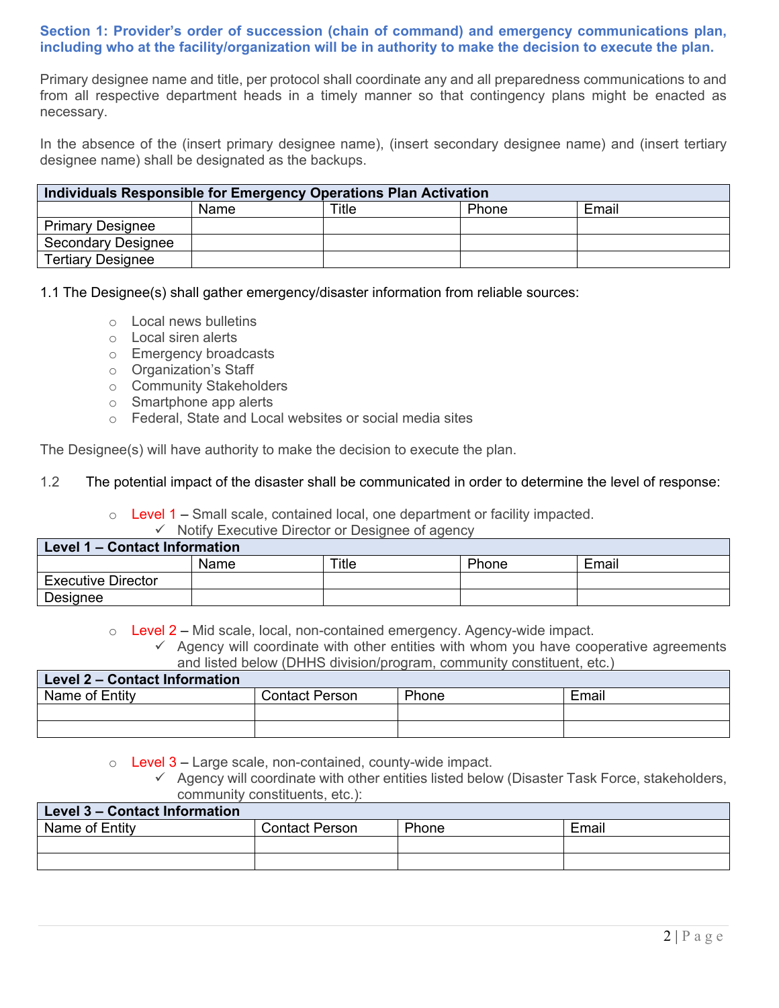### **Section 1: Provider's order of succession (chain of command) and emergency communications plan, including who at the facility/organization will be in authority to make the decision to execute the plan.**

Primary designee name and title, per protocol shall coordinate any and all preparedness communications to and from all respective department heads in a timely manner so that contingency plans might be enacted as necessary.

In the absence of the (insert primary designee name), (insert secondary designee name) and (insert tertiary designee name) shall be designated as the backups.

| Individuals Responsible for Emergency Operations Plan Activation |      |       |       |       |
|------------------------------------------------------------------|------|-------|-------|-------|
|                                                                  | Name | Title | Phone | Email |
| <b>Primary Designee</b>                                          |      |       |       |       |
| <b>Secondary Designee</b>                                        |      |       |       |       |
| <b>Tertiary Designee</b>                                         |      |       |       |       |

1.1 The Designee(s) shall gather emergency/disaster information from reliable sources:

- o Local news bulletins
- o Local siren alerts
- o Emergency broadcasts
- o Organization's Staff
- o Community Stakeholders
- o Smartphone app alerts
- o Federal, State and Local websites or social media sites

The Designee(s) will have authority to make the decision to execute the plan.

#### 1.2 The potential impact of the disaster shall be communicated in order to determine the level of response:

 $\circ$  Level 1 – Small scale, contained local, one department or facility impacted.

 $\checkmark$  Notify Executive Director or Designee of agency

| Level 1 – Contact Information |      |       |       |       |
|-------------------------------|------|-------|-------|-------|
|                               | Name | Title | Phone | Email |
| <b>Executive Director</b>     |      |       |       |       |
| Designee                      |      |       |       |       |

 $\circ$  Level 2 – Mid scale, local, non-contained emergency. Agency-wide impact.

 $\checkmark$  Agency will coordinate with other entities with whom you have cooperative agreements and listed below (DHHS division/program, community constituent, etc.)

| Level 2 - Contact Information |                       |       |       |
|-------------------------------|-----------------------|-------|-------|
| Name of Entity                | <b>Contact Person</b> | Phone | Email |
|                               |                       |       |       |
|                               |                       |       |       |

 $\circ$  Level 3 – Large scale, non-contained, county-wide impact.

 $\checkmark$  Agency will coordinate with other entities listed below (Disaster Task Force, stakeholders, community constituents, etc.):

| Level 3 – Contact Information |                       |       |       |
|-------------------------------|-----------------------|-------|-------|
| Name of Entity                | <b>Contact Person</b> | Phone | Email |
|                               |                       |       |       |
|                               |                       |       |       |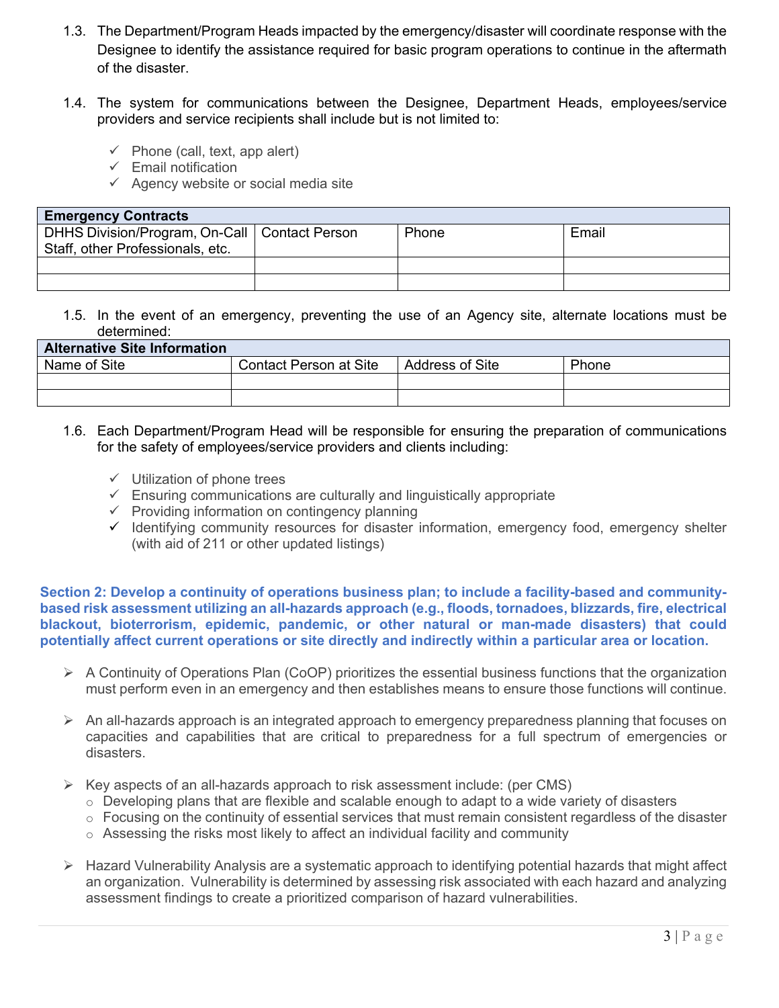- 1.3. The Department/Program Heads impacted by the emergency/disaster will coordinate response with the Designee to identify the assistance required for basic program operations to continue in the aftermath of the disaster.
- 1.4. The system for communications between the Designee, Department Heads, employees/service providers and service recipients shall include but is not limited to:
	- $\checkmark$  Phone (call, text, app alert)
	- $\checkmark$  Email notification
	- $\checkmark$  Agency website or social media site

| <b>Emergency Contracts</b>                                                          |  |       |       |
|-------------------------------------------------------------------------------------|--|-------|-------|
| DHHS Division/Program, On-Call   Contact Person<br>Staff, other Professionals, etc. |  | Phone | Email |
|                                                                                     |  |       |       |
|                                                                                     |  |       |       |

1.5. In the event of an emergency, preventing the use of an Agency site, alternate locations must be determined:

| <b>Alternative Site Information</b> |                        |                        |       |  |
|-------------------------------------|------------------------|------------------------|-------|--|
| Name of Site                        | Contact Person at Site | <b>Address of Site</b> | Phone |  |
|                                     |                        |                        |       |  |
|                                     |                        |                        |       |  |

- 1.6. Each Department/Program Head will be responsible for ensuring the preparation of communications for the safety of employees/service providers and clients including:
	- $\checkmark$  Utilization of phone trees
	- $\checkmark$  Ensuring communications are culturally and linguistically appropriate
	- $\checkmark$  Providing information on contingency planning
	- $\checkmark$  Identifying community resources for disaster information, emergency food, emergency shelter (with aid of 211 or other updated listings)

**Section 2: Develop a continuity of operations business plan; to include a facility-based and communitybased risk assessment utilizing an all-hazards approach (e.g., floods, tornadoes, blizzards, fire, electrical blackout, bioterrorism, epidemic, pandemic, or other natural or man-made disasters) that could potentially affect current operations or site directly and indirectly within a particular area or location.**

- $\triangleright$  A Continuity of Operations Plan (CoOP) prioritizes the essential business functions that the organization must perform even in an emergency and then establishes means to ensure those functions will continue.
- $\triangleright$  An all-hazards approach is an integrated approach to emergency preparedness planning that focuses on capacities and capabilities that are critical to preparedness for a full spectrum of emergencies or disasters.
- $\triangleright$  Key aspects of an all-hazards approach to risk assessment include: (per CMS)
	- $\circ$  Developing plans that are flexible and scalable enough to adapt to a wide variety of disasters
	- $\circ$  Focusing on the continuity of essential services that must remain consistent regardless of the disaster
	- $\circ$  Assessing the risks most likely to affect an individual facility and community
- $\triangleright$  Hazard Vulnerability Analysis are a systematic approach to identifying potential hazards that might affect an organization. Vulnerability is determined by assessing risk associated with each hazard and analyzing assessment findings to create a prioritized comparison of hazard vulnerabilities.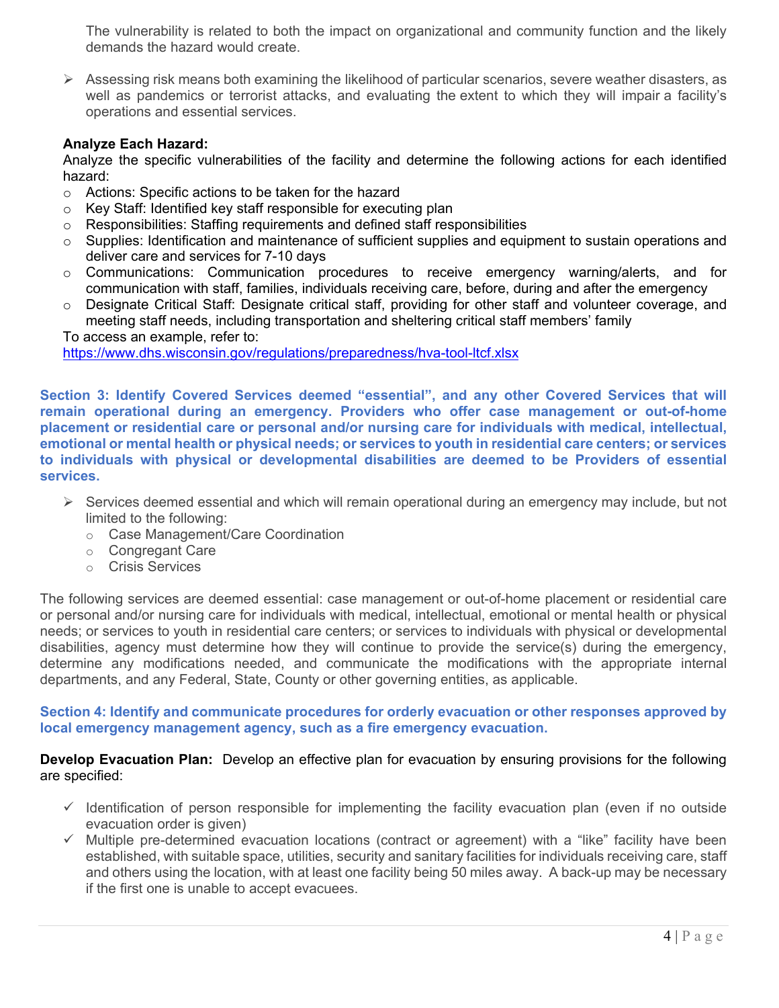The vulnerability is related to both the impact on organizational and community function and the likely demands the hazard would create.

 $\triangleright$  Assessing risk means both examining the likelihood of particular scenarios, severe weather disasters, as well as pandemics or terrorist attacks, and evaluating the extent to which they will impair a facility's operations and essential services.

### **Analyze Each Hazard:**

Analyze the specific vulnerabilities of the facility and determine the following actions for each identified hazard:

- o Actions: Specific actions to be taken for the hazard
- o Key Staff: Identified key staff responsible for executing plan
- Responsibilities: Staffing requirements and defined staff responsibilities
- $\circ$  Supplies: Identification and maintenance of sufficient supplies and equipment to sustain operations and deliver care and services for 7-10 days
- o Communications: Communication procedures to receive emergency warning/alerts, and for communication with staff, families, individuals receiving care, before, during and after the emergency
- o Designate Critical Staff: Designate critical staff, providing for other staff and volunteer coverage, and meeting staff needs, including transportation and sheltering critical staff members' family

To access an example, refer to:

<https://www.dhs.wisconsin.gov/regulations/preparedness/hva-tool-ltcf.xlsx>

**Section 3: Identify Covered Services deemed "essential", and any other Covered Services that will remain operational during an emergency. Providers who offer case management or out-of-home placement or residential care or personal and/or nursing care for individuals with medical, intellectual, emotional or mental health or physical needs; or services to youth in residential care centers; or services to individuals with physical or developmental disabilities are deemed to be Providers of essential services.** 

- $\triangleright$  Services deemed essential and which will remain operational during an emergency may include, but not limited to the following:
	- o Case Management/Care Coordination
	- o Congregant Care
	- o Crisis Services

The following services are deemed essential: case management or out-of-home placement or residential care or personal and/or nursing care for individuals with medical, intellectual, emotional or mental health or physical needs; or services to youth in residential care centers; or services to individuals with physical or developmental disabilities, agency must determine how they will continue to provide the service(s) during the emergency, determine any modifications needed, and communicate the modifications with the appropriate internal departments, and any Federal, State, County or other governing entities, as applicable.

#### **Section 4: Identify and communicate procedures for orderly evacuation or other responses approved by local emergency management agency, such as a fire emergency evacuation.**

### **Develop Evacuation Plan:** Develop an effective plan for evacuation by ensuring provisions for the following are specified:

- $\checkmark$  Identification of person responsible for implementing the facility evacuation plan (even if no outside evacuation order is given)
- $\checkmark$  Multiple pre-determined evacuation locations (contract or agreement) with a "like" facility have been established, with suitable space, utilities, security and sanitary facilities for individuals receiving care, staff and others using the location, with at least one facility being 50 miles away. A back-up may be necessary if the first one is unable to accept evacuees.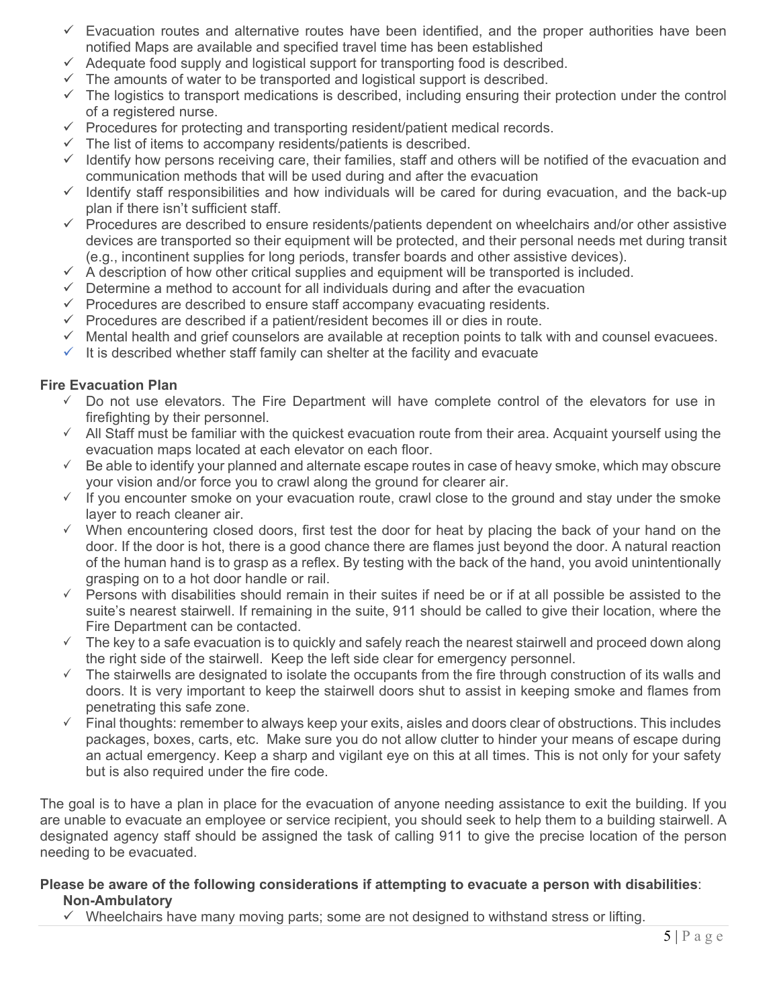- $\checkmark$  Evacuation routes and alternative routes have been identified, and the proper authorities have been notified Maps are available and specified travel time has been established
- $\checkmark$  Adequate food supply and logistical support for transporting food is described.
- $\checkmark$  The amounts of water to be transported and logistical support is described.
- $\checkmark$  The logistics to transport medications is described, including ensuring their protection under the control of a registered nurse.
- $\checkmark$  Procedures for protecting and transporting resident/patient medical records.
- $\checkmark$  The list of items to accompany residents/patients is described.
- $\checkmark$  Identify how persons receiving care, their families, staff and others will be notified of the evacuation and communication methods that will be used during and after the evacuation
- $\checkmark$  Identify staff responsibilities and how individuals will be cared for during evacuation, and the back-up plan if there isn't sufficient staff.
- $\checkmark$  Procedures are described to ensure residents/patients dependent on wheelchairs and/or other assistive devices are transported so their equipment will be protected, and their personal needs met during transit (e.g., incontinent supplies for long periods, transfer boards and other assistive devices).
- $\checkmark$  A description of how other critical supplies and equipment will be transported is included.
- $\checkmark$  Determine a method to account for all individuals during and after the evacuation
- $\checkmark$  Procedures are described to ensure staff accompany evacuating residents.
- $\checkmark$  Procedures are described if a patient/resident becomes ill or dies in route.
- $\checkmark$  Mental health and grief counselors are available at reception points to talk with and counsel evacuees.
- $\checkmark$  It is described whether staff family can shelter at the facility and evacuate

## **Fire Evacuation Plan**

- $\checkmark$  Do not use elevators. The Fire Department will have complete control of the elevators for use in firefighting by their personnel.
- $\checkmark$  All Staff must be familiar with the quickest evacuation route from their area. Acquaint yourself using the evacuation maps located at each elevator on each floor.
- $\checkmark$  Be able to identify your planned and alternate escape routes in case of heavy smoke, which may obscure your vision and/or force you to crawl along the ground for clearer air.
- $\checkmark$  If you encounter smoke on your evacuation route, crawl close to the ground and stay under the smoke layer to reach cleaner air.
- $\checkmark$  When encountering closed doors, first test the door for heat by placing the back of your hand on the door. If the door is hot, there is a good chance there are flames just beyond the door. A natural reaction of the human hand is to grasp as a reflex. By testing with the back of the hand, you avoid unintentionally grasping on to a hot door handle or rail.
- $\checkmark$  Persons with disabilities should remain in their suites if need be or if at all possible be assisted to the suite's nearest stairwell. If remaining in the suite, 911 should be called to give their location, where the Fire Department can be contacted.
- $\checkmark$  The key to a safe evacuation is to quickly and safely reach the nearest stairwell and proceed down along the right side of the stairwell. Keep the left side clear for emergency personnel.
- $\checkmark$  The stairwells are designated to isolate the occupants from the fire through construction of its walls and doors. It is very important to keep the stairwell doors shut to assist in keeping smoke and flames from penetrating this safe zone.
- $\checkmark$  Final thoughts: remember to always keep your exits, aisles and doors clear of obstructions. This includes packages, boxes, carts, etc. Make sure you do not allow clutter to hinder your means of escape during an actual emergency. Keep a sharp and vigilant eye on this at all times. This is not only for your safety but is also required under the fire code.

The goal is to have a plan in place for the evacuation of anyone needing assistance to exit the building. If you are unable to evacuate an employee or service recipient, you should seek to help them to a building stairwell. A designated agency staff should be assigned the task of calling 911 to give the precise location of the person needing to be evacuated.

### **Please be aware of the following considerations if attempting to evacuate a person with disabilities**: **Non-Ambulatory**

 $\checkmark$  Wheelchairs have many moving parts; some are not designed to withstand stress or lifting.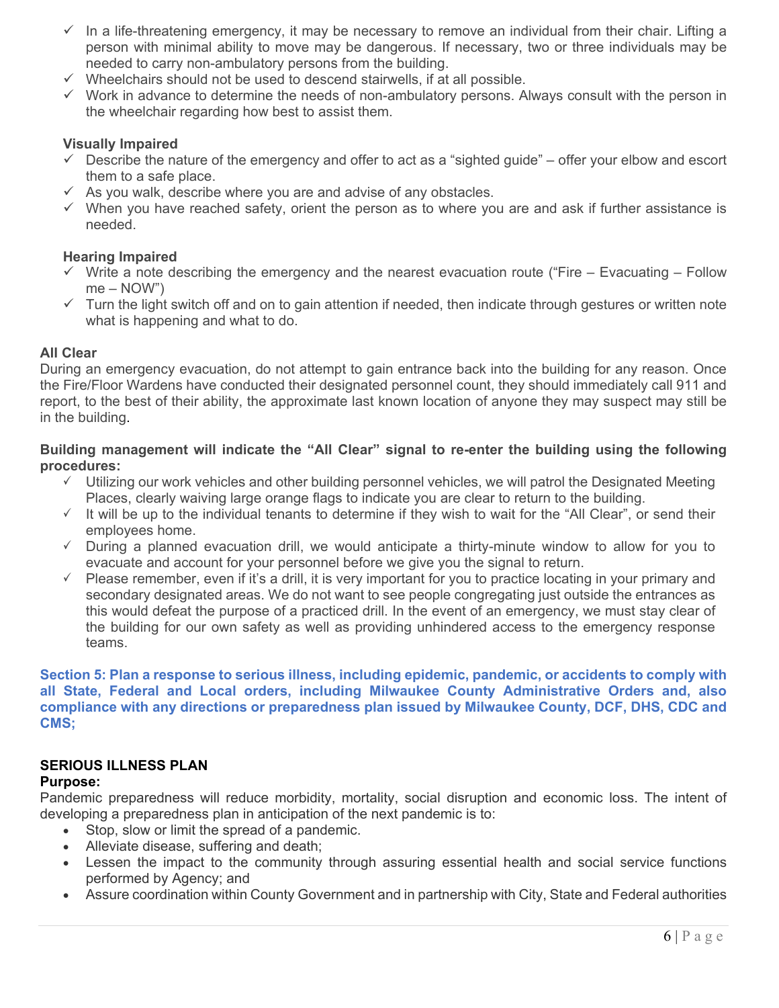- $\checkmark$  In a life-threatening emergency, it may be necessary to remove an individual from their chair. Lifting a person with minimal ability to move may be dangerous. If necessary, two or three individuals may be needed to carry non-ambulatory persons from the building.
- $\checkmark$  Wheelchairs should not be used to descend stairwells, if at all possible.
- $\checkmark$  Work in advance to determine the needs of non-ambulatory persons. Always consult with the person in the wheelchair regarding how best to assist them.

### **Visually Impaired**

- $\checkmark$  Describe the nature of the emergency and offer to act as a "sighted guide" offer your elbow and escort them to a safe place.
- $\checkmark$  As you walk, describe where you are and advise of any obstacles.
- $\checkmark$  When you have reached safety, orient the person as to where you are and ask if further assistance is needed.

#### **Hearing Impaired**

- $\checkmark$  Write a note describing the emergency and the nearest evacuation route ("Fire Evacuating Follow me – NOW")
- $\checkmark$  Turn the light switch off and on to gain attention if needed, then indicate through gestures or written note what is happening and what to do.

#### **All Clear**

During an emergency evacuation, do not attempt to gain entrance back into the building for any reason. Once the Fire/Floor Wardens have conducted their designated personnel count, they should immediately call 911 and report, to the best of their ability, the approximate last known location of anyone they may suspect may still be in the building.

### **Building management will indicate the "All Clear" signal to re-enter the building using the following procedures:**

- $\checkmark$  Utilizing our work vehicles and other building personnel vehicles, we will patrol the Designated Meeting Places, clearly waiving large orange flags to indicate you are clear to return to the building.
- $\checkmark$  It will be up to the individual tenants to determine if they wish to wait for the "All Clear", or send their employees home.
- $\checkmark$  During a planned evacuation drill, we would anticipate a thirty-minute window to allow for you to evacuate and account for your personnel before we give you the signal to return.
- $\checkmark$  Please remember, even if it's a drill, it is very important for you to practice locating in your primary and secondary designated areas. We do not want to see people congregating just outside the entrances as this would defeat the purpose of a practiced drill. In the event of an emergency, we must stay clear of the building for our own safety as well as providing unhindered access to the emergency response teams.

**Section 5: Plan a response to serious illness, including epidemic, pandemic, or accidents to comply with all State, Federal and Local orders, including Milwaukee County Administrative Orders and, also compliance with any directions or preparedness plan issued by Milwaukee County, DCF, DHS, CDC and CMS;** 

# **SERIOUS ILLNESS PLAN**

#### **Purpose:**

Pandemic preparedness will reduce morbidity, mortality, social disruption and economic loss. The intent of developing a preparedness plan in anticipation of the next pandemic is to:

- Stop, slow or limit the spread of a pandemic.
- Alleviate disease, suffering and death;
- Lessen the impact to the community through assuring essential health and social service functions performed by Agency; and
- Assure coordination within County Government and in partnership with City, State and Federal authorities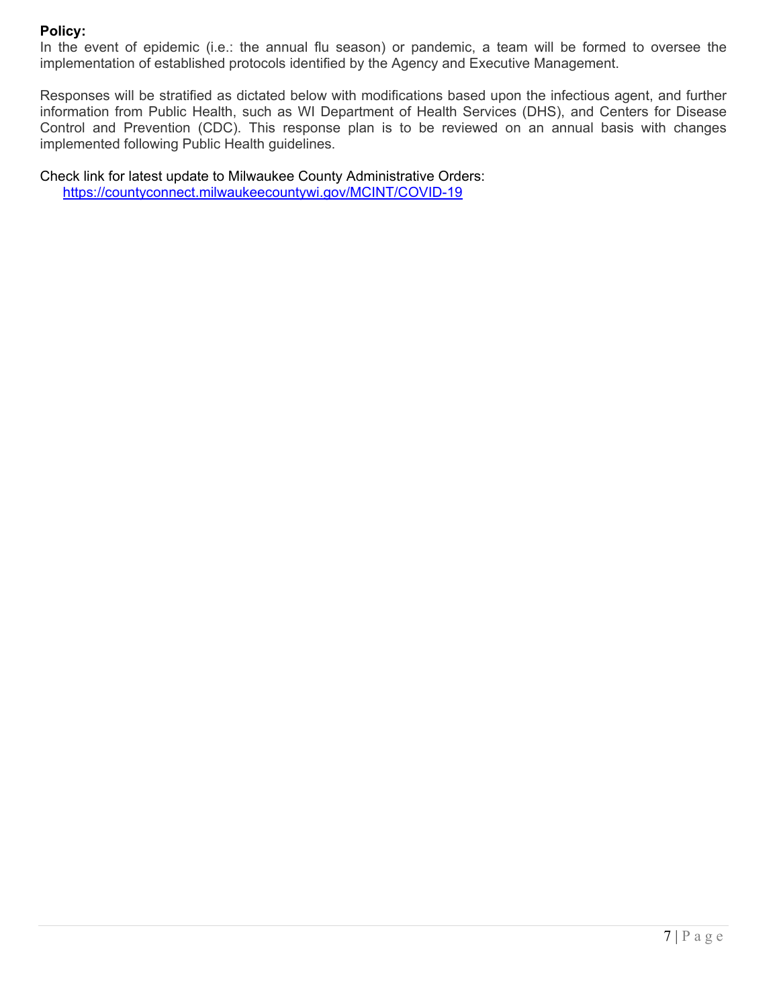## **Policy:**

In the event of epidemic (i.e.: the annual flu season) or pandemic, a team will be formed to oversee the implementation of established protocols identified by the Agency and Executive Management.

Responses will be stratified as dictated below with modifications based upon the infectious agent, and further information from Public Health, such as WI Department of Health Services (DHS), and Centers for Disease Control and Prevention (CDC). This response plan is to be reviewed on an annual basis with changes implemented following Public Health guidelines.

Check link for latest update to Milwaukee County Administrative Orders: <https://countyconnect.milwaukeecountywi.gov/MCINT/COVID-19>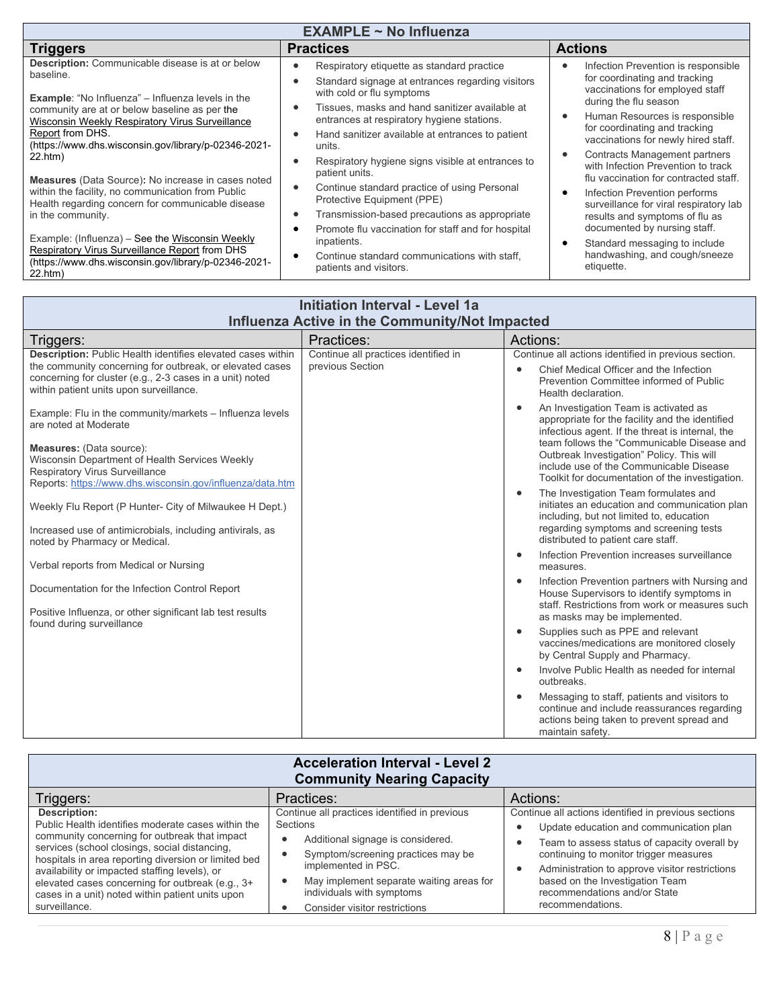| <b>Initiation Interval - Level 1a</b><br>Influenza Active in the Community/Not Impacted                                                                                                                                                                                                                                                                                                                                                                                                                                                                                                                                                                   |                                                          |                                                                                                                                                                                                                                                                                                                                                                                                                                                                                                                                                                                                                                                                                                                                                                                                                                     |  |  |
|-----------------------------------------------------------------------------------------------------------------------------------------------------------------------------------------------------------------------------------------------------------------------------------------------------------------------------------------------------------------------------------------------------------------------------------------------------------------------------------------------------------------------------------------------------------------------------------------------------------------------------------------------------------|----------------------------------------------------------|-------------------------------------------------------------------------------------------------------------------------------------------------------------------------------------------------------------------------------------------------------------------------------------------------------------------------------------------------------------------------------------------------------------------------------------------------------------------------------------------------------------------------------------------------------------------------------------------------------------------------------------------------------------------------------------------------------------------------------------------------------------------------------------------------------------------------------------|--|--|
| Triggers:                                                                                                                                                                                                                                                                                                                                                                                                                                                                                                                                                                                                                                                 | Practices:                                               | Actions:                                                                                                                                                                                                                                                                                                                                                                                                                                                                                                                                                                                                                                                                                                                                                                                                                            |  |  |
| Description: Public Health identifies elevated cases within<br>the community concerning for outbreak, or elevated cases<br>concerning for cluster (e.g., 2-3 cases in a unit) noted<br>within patient units upon surveillance.<br>Example: Flu in the community/markets - Influenza levels<br>are noted at Moderate<br>Measures: (Data source):<br>Wisconsin Department of Health Services Weekly<br>Respiratory Virus Surveillance<br>Reports: https://www.dhs.wisconsin.gov/influenza/data.htm<br>Weekly Flu Report (P Hunter- City of Milwaukee H Dept.)<br>Increased use of antimicrobials, including antivirals, as<br>noted by Pharmacy or Medical. | Continue all practices identified in<br>previous Section | Continue all actions identified in previous section.<br>Chief Medical Officer and the Infection<br>$\bullet$<br>Prevention Committee informed of Public<br>Health declaration.<br>An Investigation Team is activated as<br>$\bullet$<br>appropriate for the facility and the identified<br>infectious agent. If the threat is internal, the<br>team follows the "Communicable Disease and<br>Outbreak Investigation" Policy. This will<br>include use of the Communicable Disease<br>Toolkit for documentation of the investigation.<br>The Investigation Team formulates and<br>$\bullet$<br>initiates an education and communication plan<br>including, but not limited to, education<br>regarding symptoms and screening tests<br>distributed to patient care staff.<br>Infection Prevention increases surveillance<br>$\bullet$ |  |  |
| Verbal reports from Medical or Nursing                                                                                                                                                                                                                                                                                                                                                                                                                                                                                                                                                                                                                    |                                                          | measures.                                                                                                                                                                                                                                                                                                                                                                                                                                                                                                                                                                                                                                                                                                                                                                                                                           |  |  |
| Documentation for the Infection Control Report<br>Positive Influenza, or other significant lab test results<br>found during surveillance                                                                                                                                                                                                                                                                                                                                                                                                                                                                                                                  |                                                          | Infection Prevention partners with Nursing and<br>$\bullet$<br>House Supervisors to identify symptoms in<br>staff. Restrictions from work or measures such<br>as masks may be implemented.<br>Supplies such as PPE and relevant<br>$\bullet$<br>vaccines/medications are monitored closely<br>by Central Supply and Pharmacy.<br>Involve Public Health as needed for internal<br>$\bullet$<br>outbreaks.<br>Messaging to staff, patients and visitors to<br>$\bullet$<br>continue and include reassurances regarding<br>actions being taken to prevent spread and<br>maintain safety.                                                                                                                                                                                                                                               |  |  |

| <b>Acceleration Interval - Level 2</b><br><b>Community Nearing Capacity</b>                                                                                                                                                                                                                                                                                                                            |                                                                                                                                                                                                                                                                                    |                                                                                                                                                                                                                                                                                                                                    |  |  |
|--------------------------------------------------------------------------------------------------------------------------------------------------------------------------------------------------------------------------------------------------------------------------------------------------------------------------------------------------------------------------------------------------------|------------------------------------------------------------------------------------------------------------------------------------------------------------------------------------------------------------------------------------------------------------------------------------|------------------------------------------------------------------------------------------------------------------------------------------------------------------------------------------------------------------------------------------------------------------------------------------------------------------------------------|--|--|
| Triggers:                                                                                                                                                                                                                                                                                                                                                                                              | Practices:                                                                                                                                                                                                                                                                         | Actions:                                                                                                                                                                                                                                                                                                                           |  |  |
| Description:<br>Public Health identifies moderate cases within the<br>community concerning for outbreak that impact<br>services (school closings, social distancing,<br>hospitals in area reporting diversion or limited bed<br>availability or impacted staffing levels), or<br>elevated cases concerning for outbreak (e.g., 3+<br>cases in a unit) noted within patient units upon<br>surveillance. | Continue all practices identified in previous<br>Sections<br>Additional signage is considered.<br>$\bullet$<br>Symptom/screening practices may be<br>implemented in PSC.<br>May implement separate waiting areas for<br>individuals with symptoms<br>Consider visitor restrictions | Continue all actions identified in previous sections<br>Update education and communication plan<br>Team to assess status of capacity overall by<br>continuing to monitor trigger measures<br>Administration to approve visitor restrictions<br>based on the Investigation Team<br>recommendations and/or State<br>recommendations. |  |  |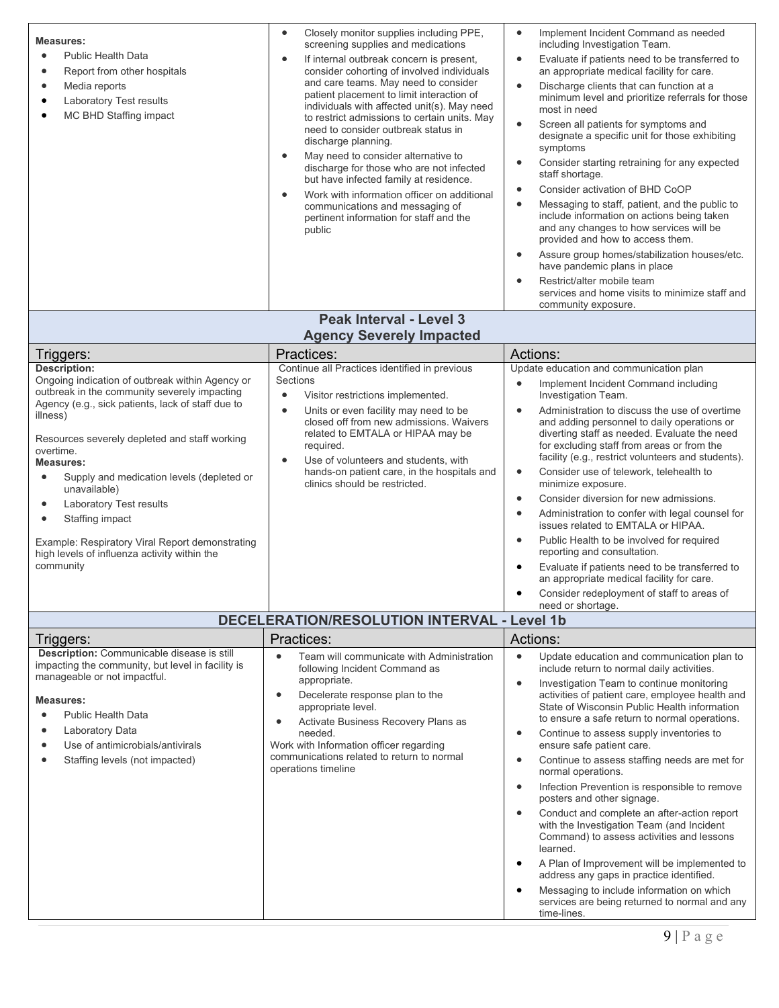| <b>Measures:</b><br><b>Public Health Data</b><br>$\bullet$<br>Report from other hospitals<br>$\bullet$<br>Media reports<br>$\bullet$<br>Laboratory Test results<br>$\bullet$<br>MC BHD Staffing impact<br>٠                                                                                                                                                                                                                                                                                                  | Closely monitor supplies including PPE,<br>$\bullet$<br>screening supplies and medications<br>If internal outbreak concern is present,<br>$\bullet$<br>consider cohorting of involved individuals<br>and care teams. May need to consider<br>patient placement to limit interaction of<br>individuals with affected unit(s). May need<br>to restrict admissions to certain units. May<br>need to consider outbreak status in<br>discharge planning.<br>May need to consider alternative to<br>$\bullet$<br>discharge for those who are not infected<br>but have infected family at residence.<br>Work with information officer on additional<br>$\bullet$<br>communications and messaging of<br>pertinent information for staff and the<br>public | Implement Incident Command as needed<br>$\bullet$<br>including Investigation Team.<br>Evaluate if patients need to be transferred to<br>$\bullet$<br>an appropriate medical facility for care.<br>$\bullet$<br>Discharge clients that can function at a<br>minimum level and prioritize referrals for those<br>most in need<br>Screen all patients for symptoms and<br>$\bullet$<br>designate a specific unit for those exhibiting<br>symptoms<br>Consider starting retraining for any expected<br>$\bullet$<br>staff shortage.<br>Consider activation of BHD CoOP<br>$\bullet$<br>Messaging to staff, patient, and the public to<br>$\bullet$<br>include information on actions being taken<br>and any changes to how services will be<br>provided and how to access them.<br>Assure group homes/stabilization houses/etc.<br>$\bullet$<br>have pandemic plans in place                                                                                                                       |
|--------------------------------------------------------------------------------------------------------------------------------------------------------------------------------------------------------------------------------------------------------------------------------------------------------------------------------------------------------------------------------------------------------------------------------------------------------------------------------------------------------------|---------------------------------------------------------------------------------------------------------------------------------------------------------------------------------------------------------------------------------------------------------------------------------------------------------------------------------------------------------------------------------------------------------------------------------------------------------------------------------------------------------------------------------------------------------------------------------------------------------------------------------------------------------------------------------------------------------------------------------------------------|------------------------------------------------------------------------------------------------------------------------------------------------------------------------------------------------------------------------------------------------------------------------------------------------------------------------------------------------------------------------------------------------------------------------------------------------------------------------------------------------------------------------------------------------------------------------------------------------------------------------------------------------------------------------------------------------------------------------------------------------------------------------------------------------------------------------------------------------------------------------------------------------------------------------------------------------------------------------------------------------|
|                                                                                                                                                                                                                                                                                                                                                                                                                                                                                                              |                                                                                                                                                                                                                                                                                                                                                                                                                                                                                                                                                                                                                                                                                                                                                   | Restrict/alter mobile team<br>$\bullet$<br>services and home visits to minimize staff and<br>community exposure.                                                                                                                                                                                                                                                                                                                                                                                                                                                                                                                                                                                                                                                                                                                                                                                                                                                                               |
|                                                                                                                                                                                                                                                                                                                                                                                                                                                                                                              | <b>Peak Interval - Level 3</b><br><b>Agency Severely Impacted</b>                                                                                                                                                                                                                                                                                                                                                                                                                                                                                                                                                                                                                                                                                 |                                                                                                                                                                                                                                                                                                                                                                                                                                                                                                                                                                                                                                                                                                                                                                                                                                                                                                                                                                                                |
|                                                                                                                                                                                                                                                                                                                                                                                                                                                                                                              |                                                                                                                                                                                                                                                                                                                                                                                                                                                                                                                                                                                                                                                                                                                                                   | Actions:                                                                                                                                                                                                                                                                                                                                                                                                                                                                                                                                                                                                                                                                                                                                                                                                                                                                                                                                                                                       |
| Triggers:<br><b>Description:</b>                                                                                                                                                                                                                                                                                                                                                                                                                                                                             | Practices:<br>Continue all Practices identified in previous                                                                                                                                                                                                                                                                                                                                                                                                                                                                                                                                                                                                                                                                                       | Update education and communication plan                                                                                                                                                                                                                                                                                                                                                                                                                                                                                                                                                                                                                                                                                                                                                                                                                                                                                                                                                        |
| Ongoing indication of outbreak within Agency or<br>outbreak in the community severely impacting<br>Agency (e.g., sick patients, lack of staff due to<br>illness)<br>Resources severely depleted and staff working<br>overtime.<br>Measures:<br>Supply and medication levels (depleted or<br>$\bullet$<br>unavailable)<br><b>Laboratory Test results</b><br>$\bullet$<br>Staffing impact<br>٠<br>Example: Respiratory Viral Report demonstrating<br>high levels of influenza activity within the<br>community | Sections<br>Visitor restrictions implemented.<br>$\bullet$<br>Units or even facility may need to be<br>$\bullet$<br>closed off from new admissions. Waivers<br>related to EMTALA or HIPAA may be<br>required.<br>Use of volunteers and students, with<br>$\bullet$<br>hands-on patient care, in the hospitals and<br>clinics should be restricted.                                                                                                                                                                                                                                                                                                                                                                                                | Implement Incident Command including<br>$\bullet$<br>Investigation Team.<br>Administration to discuss the use of overtime<br>$\bullet$<br>and adding personnel to daily operations or<br>diverting staff as needed. Evaluate the need<br>for excluding staff from areas or from the<br>facility (e.g., restrict volunteers and students).<br>Consider use of telework, telehealth to<br>$\bullet$<br>minimize exposure.<br>Consider diversion for new admissions.<br>$\bullet$<br>Administration to confer with legal counsel for<br>$\bullet$<br>issues related to EMTALA or HIPAA.<br>Public Health to be involved for required<br>$\bullet$<br>reporting and consultation.<br>Evaluate if patients need to be transferred to<br>$\bullet$<br>an appropriate medical facility for care.<br>Consider redeployment of staff to areas of<br>need or shortage.                                                                                                                                   |
|                                                                                                                                                                                                                                                                                                                                                                                                                                                                                                              | DECELERATION/RESOLUTION INTERVAL - Level 1b                                                                                                                                                                                                                                                                                                                                                                                                                                                                                                                                                                                                                                                                                                       |                                                                                                                                                                                                                                                                                                                                                                                                                                                                                                                                                                                                                                                                                                                                                                                                                                                                                                                                                                                                |
| Triggers:<br>Description: Communicable disease is still                                                                                                                                                                                                                                                                                                                                                                                                                                                      | Practices:                                                                                                                                                                                                                                                                                                                                                                                                                                                                                                                                                                                                                                                                                                                                        | Actions:                                                                                                                                                                                                                                                                                                                                                                                                                                                                                                                                                                                                                                                                                                                                                                                                                                                                                                                                                                                       |
| impacting the community, but level in facility is<br>manageable or not impactful.<br><b>Measures:</b><br><b>Public Health Data</b><br>Laboratory Data<br>Use of antimicrobials/antivirals<br>Staffing levels (not impacted)                                                                                                                                                                                                                                                                                  | Team will communicate with Administration<br>$\bullet$<br>following Incident Command as<br>appropriate.<br>Decelerate response plan to the<br>$\bullet$<br>appropriate level.<br>Activate Business Recovery Plans as<br>$\bullet$<br>needed.<br>Work with Information officer regarding<br>communications related to return to normal<br>operations timeline                                                                                                                                                                                                                                                                                                                                                                                      | Update education and communication plan to<br>$\bullet$<br>include return to normal daily activities.<br>Investigation Team to continue monitoring<br>$\bullet$<br>activities of patient care, employee health and<br>State of Wisconsin Public Health information<br>to ensure a safe return to normal operations.<br>Continue to assess supply inventories to<br>$\bullet$<br>ensure safe patient care.<br>Continue to assess staffing needs are met for<br>$\bullet$<br>normal operations.<br>Infection Prevention is responsible to remove<br>$\bullet$<br>posters and other signage.<br>Conduct and complete an after-action report<br>$\bullet$<br>with the Investigation Team (and Incident<br>Command) to assess activities and lessons<br>learned.<br>A Plan of Improvement will be implemented to<br>$\bullet$<br>address any gaps in practice identified.<br>Messaging to include information on which<br>$\bullet$<br>services are being returned to normal and any<br>time-lines. |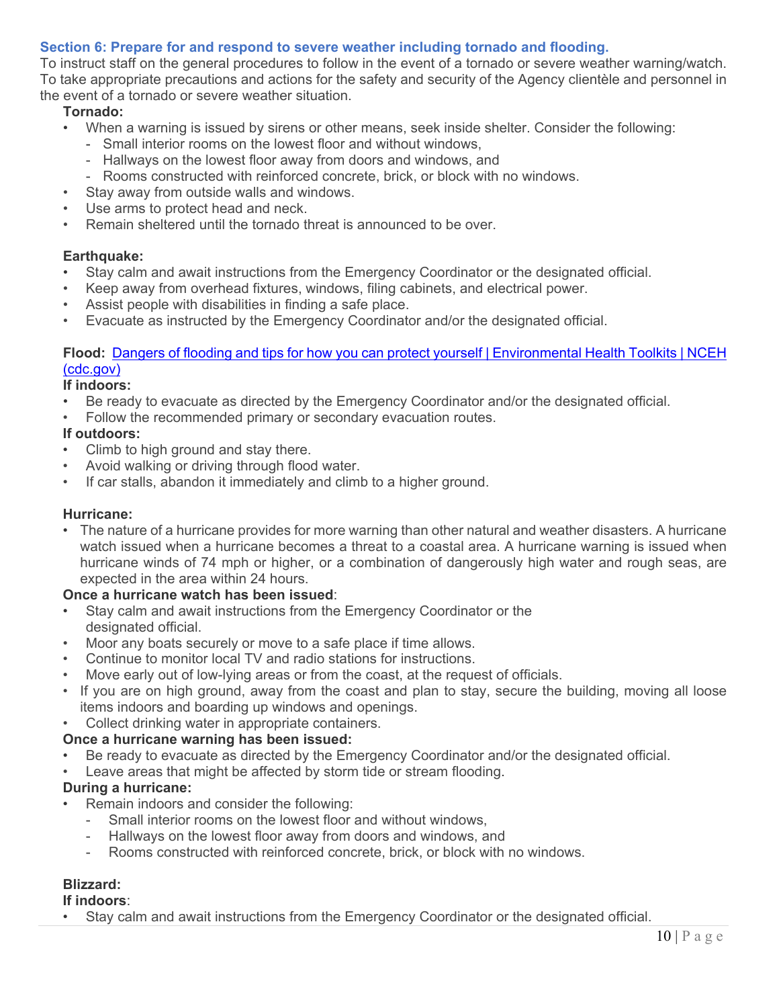## **Section 6: Prepare for and respond to severe weather including tornado and flooding.**

To instruct staff on the general procedures to follow in the event of a tornado or severe weather warning/watch. To take appropriate precautions and actions for the safety and security of the Agency clientèle and personnel in the event of a tornado or severe weather situation.

### **Tornado:**

- When a warning is issued by sirens or other means, seek inside shelter. Consider the following:
	- Small interior rooms on the lowest floor and without windows,
	- Hallways on the lowest floor away from doors and windows, and
	- Rooms constructed with reinforced concrete, brick, or block with no windows.
- Stay away from outside walls and windows.
- Use arms to protect head and neck.
- Remain sheltered until the tornado threat is announced to be over.

#### **Earthquake:**

- Stay calm and await instructions from the Emergency Coordinator or the designated official.
- Keep away from overhead fixtures, windows, filing cabinets, and electrical power.
- Assist people with disabilities in finding a safe place.
- Evacuate as instructed by the Emergency Coordinator and/or the designated official.

### **Flood:** [Dangers of flooding and tips for how you can protect yourself | Environmental Health Toolkits | NCEH](https://www.cdc.gov/nceh/toolkits/floods/default.html)  [\(cdc.gov\)](https://www.cdc.gov/nceh/toolkits/floods/default.html)

## **If indoors:**

- Be ready to evacuate as directed by the Emergency Coordinator and/or the designated official.
- Follow the recommended primary or secondary evacuation routes.

#### **If outdoors:**

- Climb to high ground and stay there.
- Avoid walking or driving through flood water.
- If car stalls, abandon it immediately and climb to a higher ground.

#### **Hurricane:**

• The nature of a hurricane provides for more warning than other natural and weather disasters. A hurricane watch issued when a hurricane becomes a threat to a coastal area. A hurricane warning is issued when hurricane winds of 74 mph or higher, or a combination of dangerously high water and rough seas, are expected in the area within 24 hours.

### **Once a hurricane watch has been issued**:

- Stay calm and await instructions from the Emergency Coordinator or the designated official.
- Moor any boats securely or move to a safe place if time allows.
- Continue to monitor local TV and radio stations for instructions.
- Move early out of low-lying areas or from the coast, at the request of officials.
- If you are on high ground, away from the coast and plan to stay, secure the building, moving all loose items indoors and boarding up windows and openings.
- Collect drinking water in appropriate containers.

### **Once a hurricane warning has been issued:**

- Be ready to evacuate as directed by the Emergency Coordinator and/or the designated official.
- Leave areas that might be affected by storm tide or stream flooding.

## **During a hurricane:**

- Remain indoors and consider the following:
	- Small interior rooms on the lowest floor and without windows,
	- Hallways on the lowest floor away from doors and windows, and
	- Rooms constructed with reinforced concrete, brick, or block with no windows.

# **Blizzard:**

**If indoors**:

Stay calm and await instructions from the Emergency Coordinator or the designated official.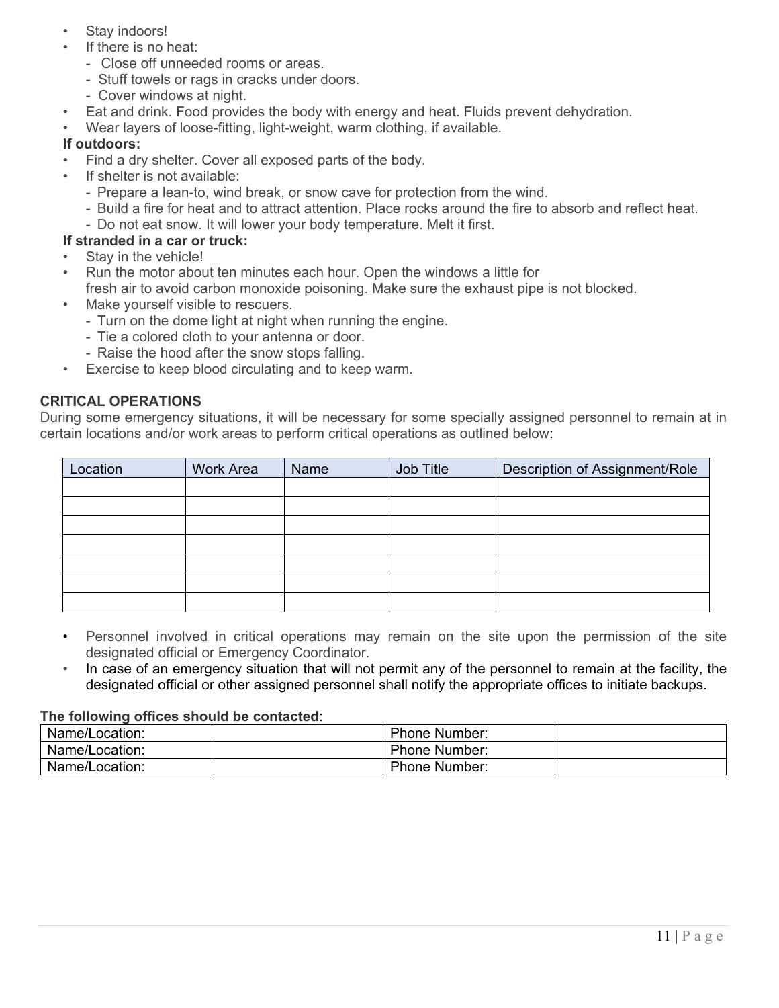- Stay indoors!
- If there is no heat:
	- Close off unneeded rooms or areas.
	- Stuff towels or rags in cracks under doors.
	- Cover windows at night.
- Eat and drink. Food provides the body with energy and heat. Fluids prevent dehydration.
- Wear layers of loose-fitting, light-weight, warm clothing, if available.

### **If outdoors:**

- Find a dry shelter. Cover all exposed parts of the body.
- If shelter is not available:
	- Prepare a lean-to, wind break, or snow cave for protection from the wind.
	- Build a fire for heat and to attract attention. Place rocks around the fire to absorb and reflect heat.
	- Do not eat snow. It will lower your body temperature. Melt it first.

### **If stranded in a car or truck:**

- Stay in the vehicle!
- Run the motor about ten minutes each hour. Open the windows a little for fresh air to avoid carbon monoxide poisoning. Make sure the exhaust pipe is not blocked.
- Make yourself visible to rescuers.
	- Turn on the dome light at night when running the engine.
	- Tie a colored cloth to your antenna or door.
	- Raise the hood after the snow stops falling.
- Exercise to keep blood circulating and to keep warm.

### **CRITICAL OPERATIONS**

During some emergency situations, it will be necessary for some specially assigned personnel to remain at in certain locations and/or work areas to perform critical operations as outlined below:

| Location | <b>Work Area</b> | Name | Job Title | Description of Assignment/Role |
|----------|------------------|------|-----------|--------------------------------|
|          |                  |      |           |                                |
|          |                  |      |           |                                |
|          |                  |      |           |                                |
|          |                  |      |           |                                |
|          |                  |      |           |                                |
|          |                  |      |           |                                |
|          |                  |      |           |                                |

- Personnel involved in critical operations may remain on the site upon the permission of the site designated official or Emergency Coordinator.
- In case of an emergency situation that will not permit any of the personnel to remain at the facility, the designated official or other assigned personnel shall notify the appropriate offices to initiate backups.

#### **The following offices should be contacted**:

| Name/Location: | <b>Phone Number:</b> |  |
|----------------|----------------------|--|
| Name/Location: | <b>Phone Number:</b> |  |
| Name/Location: | <b>Phone Number:</b> |  |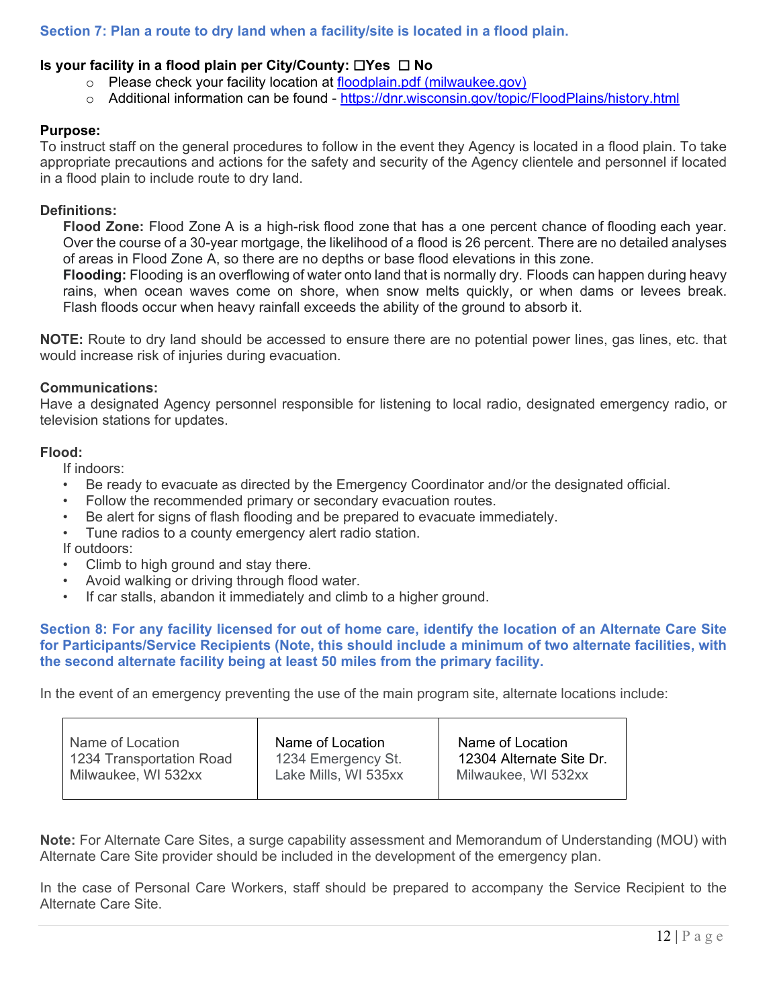# **Section 7: Plan a route to dry land when a facility/site is located in a flood plain.**

### **Is your facility in a flood plain per City/County:** ☐**Yes** ☐ **No**

- o Please check your facility location at [floodplain.pdf \(milwaukee.gov\)](https://city.milwaukee.gov/DNS/planning/floodplain.pdf)
- o Additional information can be found <https://dnr.wisconsin.gov/topic/FloodPlains/history.html>

#### **Purpose:**

To instruct staff on the general procedures to follow in the event they Agency is located in a flood plain. To take appropriate precautions and actions for the safety and security of the Agency clientele and personnel if located in a flood plain to include route to dry land.

#### **Definitions:**

**Flood Zone:** Flood Zone A is a high-risk flood zone that has a one percent chance of flooding each year. Over the course of a 30-year mortgage, the likelihood of a flood is 26 percent. There are no detailed analyses of areas in Flood Zone A, so there are no depths or base flood elevations in this zone.

**Flooding:** Flooding is an overflowing of water onto land that is normally dry. Floods can happen during heavy rains, when ocean waves come on shore, when snow melts quickly, or when dams or levees break. Flash floods occur when heavy rainfall exceeds the ability of the ground to absorb it.

**NOTE:** Route to dry land should be accessed to ensure there are no potential power lines, gas lines, etc. that would increase risk of injuries during evacuation.

#### **Communications:**

Have a designated Agency personnel responsible for listening to local radio, designated emergency radio, or television stations for updates.

#### **Flood:**

If indoors:

- Be ready to evacuate as directed by the Emergency Coordinator and/or the designated official.
- Follow the recommended primary or secondary evacuation routes.
- Be alert for signs of flash flooding and be prepared to evacuate immediately.
- Tune radios to a county emergency alert radio station.

If outdoors:

- Climb to high ground and stay there.
- Avoid walking or driving through flood water.
- If car stalls, abandon it immediately and climb to a higher ground.

#### **Section 8: For any facility licensed for out of home care, identify the location of an Alternate Care Site for Participants/Service Recipients (Note, this should include a minimum of two alternate facilities, with the second alternate facility being at least 50 miles from the primary facility.**

In the event of an emergency preventing the use of the main program site, alternate locations include:

| Name of Location         | Name of Location     | Name of Location         |
|--------------------------|----------------------|--------------------------|
| 1234 Transportation Road | 1234 Emergency St.   | 12304 Alternate Site Dr. |
| Milwaukee, WI 532xx      | Lake Mills, WI 535xx | Milwaukee, WI 532xx      |
|                          |                      |                          |

**Note:** For Alternate Care Sites, a surge capability assessment and Memorandum of Understanding (MOU) with Alternate Care Site provider should be included in the development of the emergency plan.

In the case of Personal Care Workers, staff should be prepared to accompany the Service Recipient to the Alternate Care Site.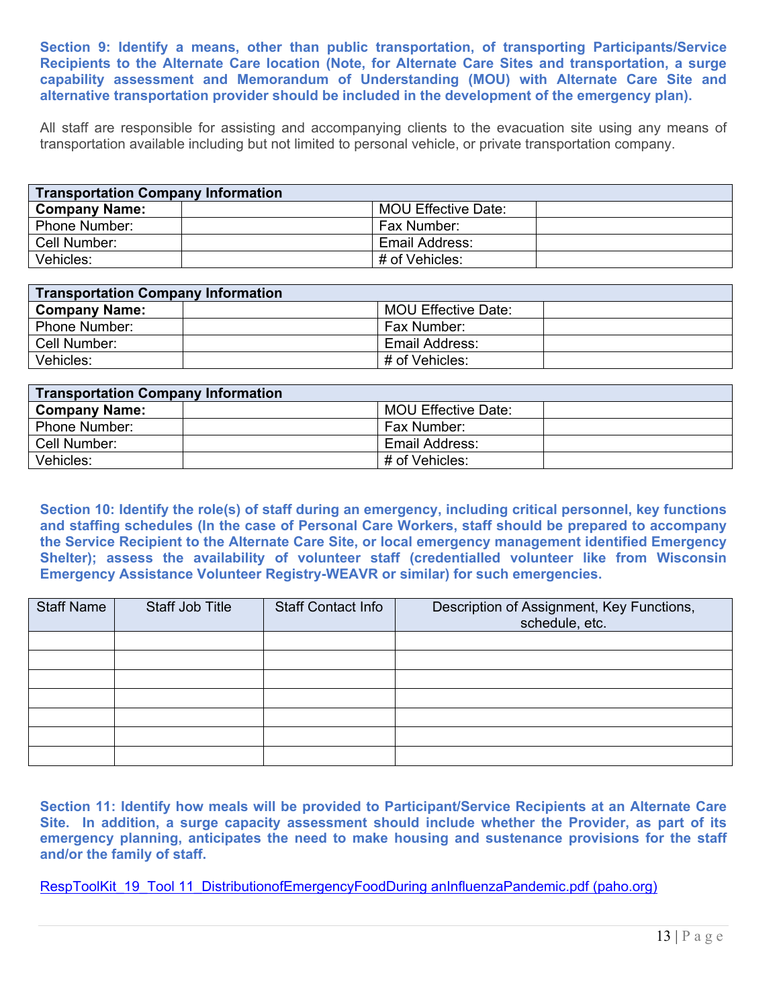**Section 9: Identify a means, other than public transportation, of transporting Participants/Service Recipients to the Alternate Care location (Note, for Alternate Care Sites and transportation, a surge capability assessment and Memorandum of Understanding (MOU) with Alternate Care Site and alternative transportation provider should be included in the development of the emergency plan).**

All staff are responsible for assisting and accompanying clients to the evacuation site using any means of transportation available including but not limited to personal vehicle, or private transportation company.

| <b>Transportation Company Information</b> |  |                            |  |
|-------------------------------------------|--|----------------------------|--|
| <b>Company Name:</b>                      |  | <b>MOU Effective Date:</b> |  |
| Phone Number:                             |  | Fax Number:                |  |
| Cell Number:                              |  | Email Address:             |  |
| Vehicles:                                 |  | # of Vehicles:             |  |

| <b>Transportation Company Information</b> |  |                     |  |
|-------------------------------------------|--|---------------------|--|
| <b>Company Name:</b>                      |  | MOU Effective Date: |  |
| <b>Phone Number:</b>                      |  | Fax Number:         |  |
| Cell Number:                              |  | Email Address:      |  |
| Vehicles:                                 |  | # of Vehicles:      |  |

| <b>Transportation Company Information</b> |  |                     |  |
|-------------------------------------------|--|---------------------|--|
| <b>Company Name:</b>                      |  | MOU Effective Date: |  |
| <b>Phone Number:</b>                      |  | Fax Number:         |  |
| Cell Number:                              |  | Email Address:      |  |
| Vehicles:                                 |  | # of Vehicles:      |  |

**Section 10: Identify the role(s) of staff during an emergency, including critical personnel, key functions and staffing schedules (In the case of Personal Care Workers, staff should be prepared to accompany the Service Recipient to the Alternate Care Site, or local emergency management identified Emergency Shelter); assess the availability of volunteer staff (credentialled volunteer like from Wisconsin Emergency Assistance Volunteer Registry-WEAVR or similar) for such emergencies.**

| <b>Staff Name</b> | Staff Job Title | <b>Staff Contact Info</b> | Description of Assignment, Key Functions,<br>schedule, etc. |
|-------------------|-----------------|---------------------------|-------------------------------------------------------------|
|                   |                 |                           |                                                             |
|                   |                 |                           |                                                             |
|                   |                 |                           |                                                             |
|                   |                 |                           |                                                             |
|                   |                 |                           |                                                             |
|                   |                 |                           |                                                             |
|                   |                 |                           |                                                             |

**Section 11: Identify how meals will be provided to Participant/Service Recipients at an Alternate Care Site. In addition, a surge capacity assessment should include whether the Provider, as part of its emergency planning, anticipates the need to make housing and sustenance provisions for the staff and/or the family of staff.**

[RespToolKit\\_19\\_Tool 11\\_DistributionofEmergencyFoodDuring anInfluenzaPandemic.pdf \(paho.org\)](https://www.paho.org/disasters/dmdocuments/RespToolKit_19_Tool%2011_DistributionofEmergencyFoodDuring%20anInfluenzaPandemic.pdf)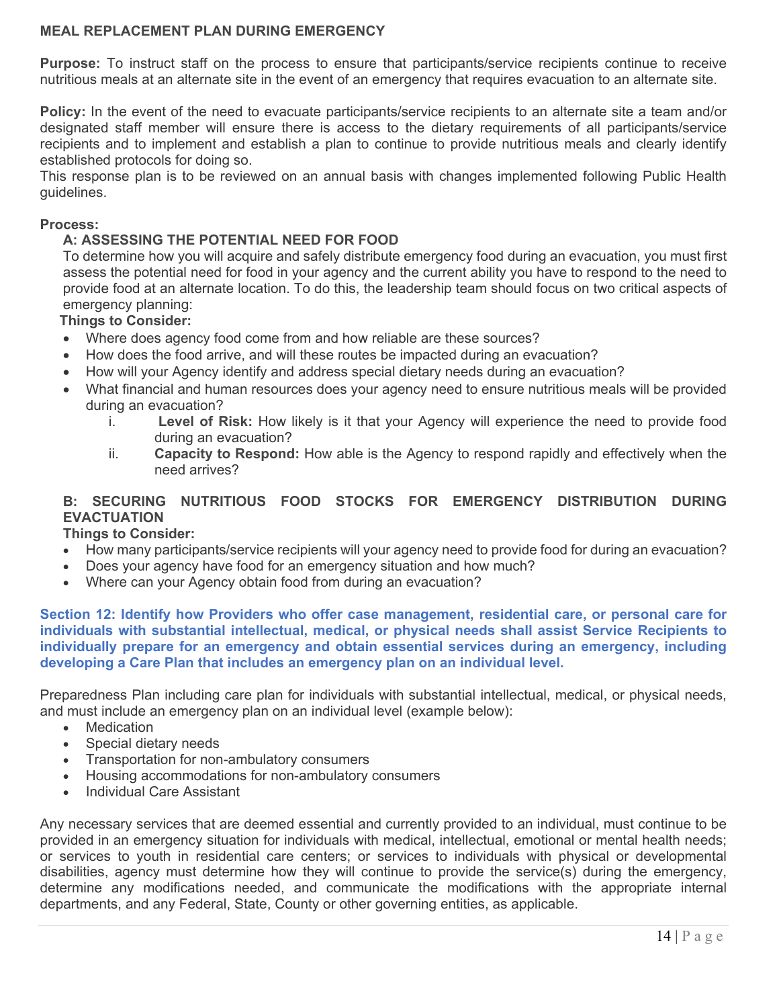### **MEAL REPLACEMENT PLAN DURING EMERGENCY**

**Purpose:** To instruct staff on the process to ensure that participants/service recipients continue to receive nutritious meals at an alternate site in the event of an emergency that requires evacuation to an alternate site.

**Policy:** In the event of the need to evacuate participants/service recipients to an alternate site a team and/or designated staff member will ensure there is access to the dietary requirements of all participants/service recipients and to implement and establish a plan to continue to provide nutritious meals and clearly identify established protocols for doing so.

This response plan is to be reviewed on an annual basis with changes implemented following Public Health guidelines.

#### **Process:**

#### **A: ASSESSING THE POTENTIAL NEED FOR FOOD**

To determine how you will acquire and safely distribute emergency food during an evacuation, you must first assess the potential need for food in your agency and the current ability you have to respond to the need to provide food at an alternate location. To do this, the leadership team should focus on two critical aspects of emergency planning:

#### **Things to Consider:**

- Where does agency food come from and how reliable are these sources?
- How does the food arrive, and will these routes be impacted during an evacuation?
- How will your Agency identify and address special dietary needs during an evacuation?
- What financial and human resources does your agency need to ensure nutritious meals will be provided during an evacuation?
	- i. **Level of Risk:** How likely is it that your Agency will experience the need to provide food during an evacuation?
	- ii. **Capacity to Respond:** How able is the Agency to respond rapidly and effectively when the need arrives?

### **B: SECURING NUTRITIOUS FOOD STOCKS FOR EMERGENCY DISTRIBUTION DURING EVACTUATION**

#### **Things to Consider:**

- How many participants/service recipients will your agency need to provide food for during an evacuation?
- Does your agency have food for an emergency situation and how much?
- Where can your Agency obtain food from during an evacuation?

**Section 12: Identify how Providers who offer case management, residential care, or personal care for individuals with substantial intellectual, medical, or physical needs shall assist Service Recipients to individually prepare for an emergency and obtain essential services during an emergency, including developing a Care Plan that includes an emergency plan on an individual level.**

Preparedness Plan including care plan for individuals with substantial intellectual, medical, or physical needs, and must include an emergency plan on an individual level (example below):

- Medication
- Special dietary needs
- Transportation for non-ambulatory consumers
- Housing accommodations for non-ambulatory consumers
- Individual Care Assistant

Any necessary services that are deemed essential and currently provided to an individual, must continue to be provided in an emergency situation for individuals with medical, intellectual, emotional or mental health needs; or services to youth in residential care centers; or services to individuals with physical or developmental disabilities, agency must determine how they will continue to provide the service(s) during the emergency, determine any modifications needed, and communicate the modifications with the appropriate internal departments, and any Federal, State, County or other governing entities, as applicable.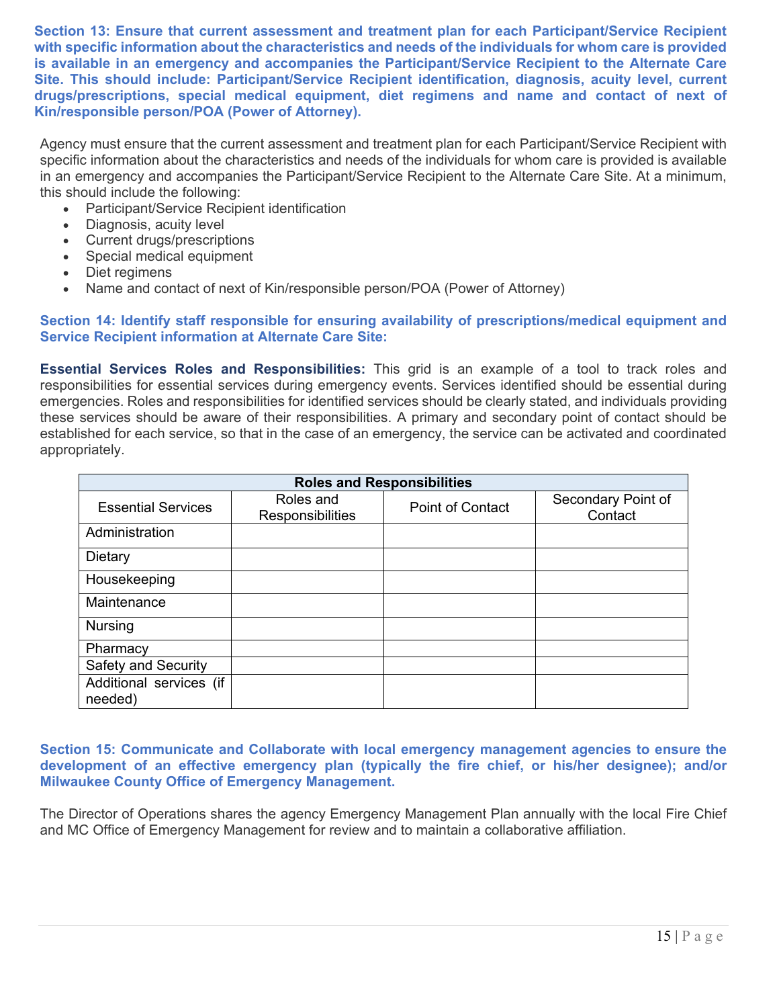**Section 13: Ensure that current assessment and treatment plan for each Participant/Service Recipient with specific information about the characteristics and needs of the individuals for whom care is provided is available in an emergency and accompanies the Participant/Service Recipient to the Alternate Care Site. This should include: Participant/Service Recipient identification, diagnosis, acuity level, current drugs/prescriptions, special medical equipment, diet regimens and name and contact of next of Kin/responsible person/POA (Power of Attorney).**

Agency must ensure that the current assessment and treatment plan for each Participant/Service Recipient with specific information about the characteristics and needs of the individuals for whom care is provided is available in an emergency and accompanies the Participant/Service Recipient to the Alternate Care Site. At a minimum, this should include the following:

- Participant/Service Recipient identification
- Diagnosis, acuity level
- Current drugs/prescriptions
- Special medical equipment
- Diet regimens
- Name and contact of next of Kin/responsible person/POA (Power of Attorney)

#### **Section 14: Identify staff responsible for ensuring availability of prescriptions/medical equipment and Service Recipient information at Alternate Care Site:**

**Essential Services Roles and Responsibilities:** This grid is an example of a tool to track roles and responsibilities for essential services during emergency events. Services identified should be essential during emergencies. Roles and responsibilities for identified services should be clearly stated, and individuals providing these services should be aware of their responsibilities. A primary and secondary point of contact should be established for each service, so that in the case of an emergency, the service can be activated and coordinated appropriately.

| <b>Roles and Responsibilities</b>  |                               |                         |                               |  |
|------------------------------------|-------------------------------|-------------------------|-------------------------------|--|
| <b>Essential Services</b>          | Roles and<br>Responsibilities | <b>Point of Contact</b> | Secondary Point of<br>Contact |  |
| Administration                     |                               |                         |                               |  |
| Dietary                            |                               |                         |                               |  |
| Housekeeping                       |                               |                         |                               |  |
| Maintenance                        |                               |                         |                               |  |
| <b>Nursing</b>                     |                               |                         |                               |  |
| Pharmacy                           |                               |                         |                               |  |
| <b>Safety and Security</b>         |                               |                         |                               |  |
| Additional services (if<br>needed) |                               |                         |                               |  |

**Section 15: Communicate and Collaborate with local emergency management agencies to ensure the development of an effective emergency plan (typically the fire chief, or his/her designee); and/or Milwaukee County Office of Emergency Management.** 

The Director of Operations shares the agency Emergency Management Plan annually with the local Fire Chief and MC Office of Emergency Management for review and to maintain a collaborative affiliation.